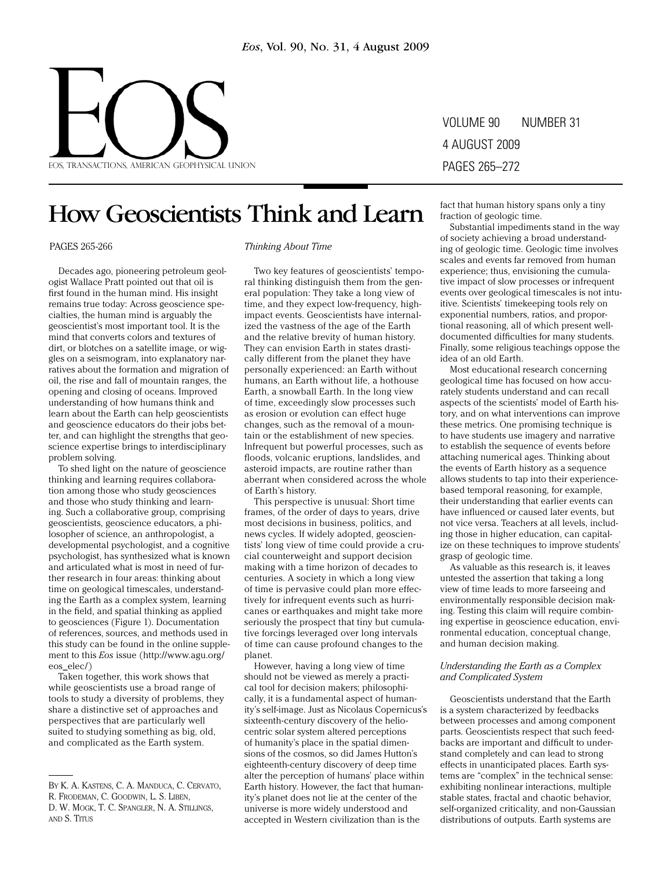

VOLUME 90 NUMBER 31 4 AUGUST 2009 PAGES 265–272

# How Geoscientists Think and Learn

### PAGES 265-266

Decades ago, pioneering petroleum geologist Wallace Pratt pointed out that oil is first found in the human mind. His insight remains true today: Across geoscience specialties, the human mind is arguably the geoscientist's most important tool. It is the mind that converts colors and textures of dirt, or blotches on a satellite image, or wiggles on a seismogram, into explanatory narratives about the formation and migration of oil, the rise and fall of mountain ranges, the opening and closing of oceans. Improved understanding of how humans think and learn about the Earth can help geoscientists and geoscience educators do their jobs better, and can highlight the strengths that geoscience expertise brings to interdisciplinary problem solving.

To shed light on the nature of geoscience thinking and learning requires collaboration among those who study geosciences and those who study thinking and learning. Such a collaborative group, comprising geoscientists, geoscience educators, a philosopher of science, an anthropologist, a developmental psychologist, and a cognitive psychologist, has synthesized what is known and articulated what is most in need of further research in four areas: thinking about time on geological timescales, understanding the Earth as a complex system, learning in the field, and spatial thinking as applied to geosciences (Figure 1). Documentation of references, sources, and methods used in this study can be found in the online supplement to this *Eos* issue (http://www.agu.org/ eos\_elec/)

Taken together, this work shows that while geoscientists use a broad range of tools to study a diversity of problems, they share a distinctive set of approaches and perspectives that are particularly well suited to studying something as big, old, and complicated as the Earth system.

### *Thinking About Time*

Two key features of geoscientists' temporal thinking distinguish them from the general population: They take a long view of time, and they expect low-frequency, highimpact events. Geoscientists have internalized the vastness of the age of the Earth and the relative brevity of human history. They can envision Earth in states drastically different from the planet they have personally experienced: an Earth without humans, an Earth without life, a hothouse Earth, a snowball Earth. In the long view of time, exceedingly slow processes such as erosion or evolution can effect huge changes, such as the removal of a mountain or the establishment of new species. Infrequent but powerful processes, such as floods, volcanic eruptions, landslides, and asteroid impacts, are routine rather than aberrant when considered across the whole of Earth's history.

This perspective is unusual: Short time frames, of the order of days to years, drive most decisions in business, politics, and news cycles. If widely adopted, geoscientists' long view of time could provide a crucial counterweight and support decision making with a time horizon of decades to centuries. A society in which a long view of time is pervasive could plan more effectively for infrequent events such as hurricanes or earthquakes and might take more seriously the prospect that tiny but cumulative forcings leveraged over long intervals of time can cause profound changes to the planet.

However, having a long view of time should not be viewed as merely a practical tool for decision makers; philosophically, it is a fundamental aspect of humanity's self-image. Just as Nicolaus Copernicus's sixteenth-century discovery of the heliocentric solar system altered perceptions of humanity's place in the spatial dimensions of the cosmos, so did James Hutton's eighteenth-century discovery of deep time alter the perception of humans' place within Earth history. However, the fact that humanity's planet does not lie at the center of the universe is more widely understood and accepted in Western civilization than is the

fact that human history spans only a tiny fraction of geologic time.

Substantial impediments stand in the way of society achieving a broad understanding of geologic time. Geologic time involves scales and events far removed from human experience; thus, envisioning the cumulative impact of slow processes or infrequent events over geological timescales is not intuitive. Scientists' timekeeping tools rely on exponential numbers, ratios, and proportional reasoning, all of which present welldocumented difficulties for many students. Finally, some religious teachings oppose the idea of an old Earth.

Most educational research concerning geological time has focused on how accurately students understand and can recall aspects of the scientists' model of Earth history, and on what interventions can improve these metrics. One promising technique is to have students use imagery and narrative to establish the sequence of events before attaching numerical ages. Thinking about the events of Earth history as a sequence allows students to tap into their experiencebased temporal reasoning, for example, their understanding that earlier events can have influenced or caused later events, but not vice versa. Teachers at all levels, including those in higher education, can capitalize on these techniques to improve students' grasp of geologic time.

As valuable as this research is, it leaves untested the assertion that taking a long view of time leads to more farseeing and environmentally responsible decision making. Testing this claim will require combining expertise in geoscience education, environmental education, conceptual change, and human decision making.

## *Understanding the Earth as a Complex and Complicated System*

Geoscientists understand that the Earth is a system characterized by feedbacks between processes and among component parts. Geoscientists respect that such feedbacks are important and difficult to understand completely and can lead to strong effects in unanticipated places. Earth systems are "complex" in the technical sense: exhibiting nonlinear interactions, multiple stable states, fractal and chaotic behavior, self-organized criticality, and non-Gaussian distributions of outputs. Earth systems are

BY K. A. KASTENS, C. A. MANDUCA, C. CERVATO, R. FRODEMAN, C. GOODWIN, L. S. LIBEN, D. W. MOGK, T. C. SPANGLER, N. A. STILLINGS, AND S. TITUS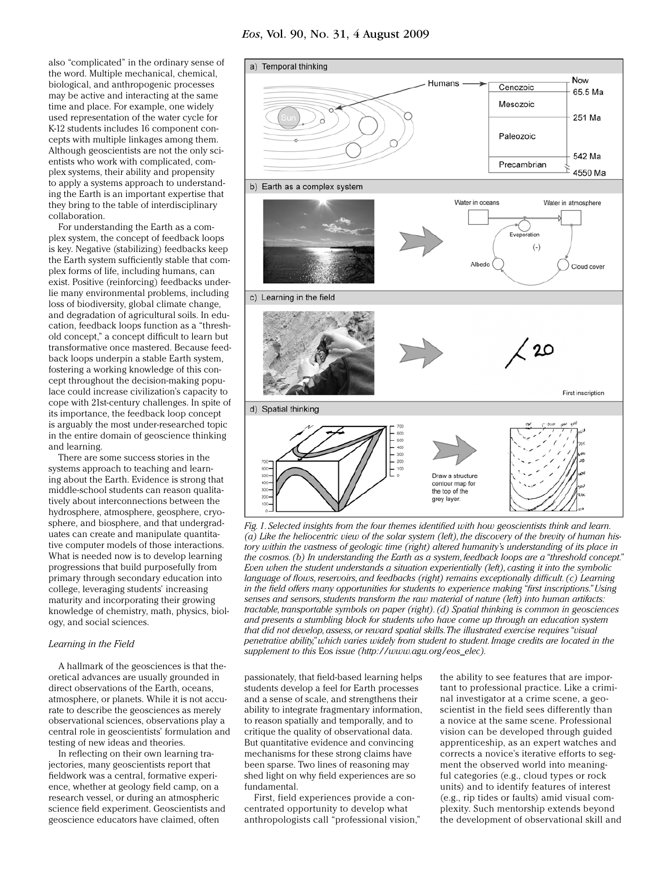also "complicated" in the ordinary sense of the word. Multiple mechanical, chemical, biological, and anthropogenic processes may be active and interacting at the same time and place. For example, one widely used representation of the water cycle for K-12 students includes 16 component concepts with multiple linkages among them. Although geoscientists are not the only scientists who work with complicated, complex systems, their ability and propensity to apply a systems approach to understanding the Earth is an important expertise that they bring to the table of interdisciplinary collaboration.

For understanding the Earth as a complex system, the concept of feedback loops is key. Negative (stabilizing) feedbacks keep the Earth system sufficiently stable that complex forms of life, including humans, can exist. Positive (reinforcing) feedbacks underlie many environmental problems, including loss of biodiversity, global climate change, and degradation of agricultural soils. In education, feedback loops function as a "threshold concept," a concept difficult to learn but transformative once mastered. Because feedback loops underpin a stable Earth system, fostering a working knowledge of this concept throughout the decision-making populace could increase civilization's capacity to cope with 21st-century challenges. In spite of its importance, the feedback loop concept is arguably the most under-researched topic in the entire domain of geoscience thinking and learning.

There are some success stories in the systems approach to teaching and learning about the Earth. Evidence is strong that middle-school students can reason qualitatively about interconnections between the hydrosphere, atmosphere, geosphere, cryosphere, and biosphere, and that undergraduates can create and manipulate quantitative computer models of those interactions. What is needed now is to develop learning progressions that build purposefully from primary through secondary education into college, leveraging students' increasing maturity and incorporating their growing knowledge of chemistry, math, physics, biology, and social sciences.

### *Learning in the Field*

A hallmark of the geosciences is that theoretical advances are usually grounded in direct observations of the Earth, oceans, atmosphere, or planets. While it is not accurate to describe the geosciences as merely observational sciences, observations play a central role in geoscientists' formulation and testing of new ideas and theories.

In reflecting on their own learning trajectories, many geoscientists report that fieldwork was a central, formative experience, whether at geology field camp, on a research vessel, or during an atmospheric science field experiment. Geoscientists and geoscience educators have claimed, often



*Fig.1. Selected insights from the four themes identified with how geoscientists think and learn.* (a) Like the heliocentric view of the solar system (left), the discovery of the brevity of human his*tory within the vastness of geologic time (right) altered humanity's understanding of its place in the cosmos. (b) In understanding the Earth as a system,feedback loops are a "threshold concept." Even when the student understands a situation experientially (left), casting it into the symbolic language of flows,reservoirs,and feedbacks (right) remains exceptionally difficult. (c) Learning in the field offers many opportunities for students to experience making "first inscriptions."Using senses and sensors, students transform the raw material of nature (left) into human artifacts: tractable,transportable symbols on paper (right). (d) Spatial thinking is common in geosciences and presents a stumbling block for students who have come up through an education system that did not develop,assess,or reward spatial skills.The illustrated exercise requires "visual penetrative ability,"which varies widely from student to student.Image credits are located in the supplement to this* Eos *issue (http://www.agu.org/eos\_elec).*

passionately, that field-based learning helps students develop a feel for Earth processes and a sense of scale, and strengthens their ability to integrate fragmentary information, to reason spatially and temporally, and to critique the quality of observational data. But quantitative evidence and convincing mechanisms for these strong claims have been sparse. Two lines of reasoning may shed light on why field experiences are so fundamental.

First, field experiences provide a concentrated opportunity to develop what anthropologists call "professional vision," the ability to see features that are important to professional practice. Like a criminal investigator at a crime scene, a geoscientist in the field sees differently than a novice at the same scene. Professional vision can be developed through guided apprenticeship, as an expert watches and corrects a novice's iterative efforts to segment the observed world into meaningful categories (e.g., cloud types or rock units) and to identify features of interest (e.g., rip tides or faults) amid visual complexity. Such mentorship extends beyond the development of observational skill and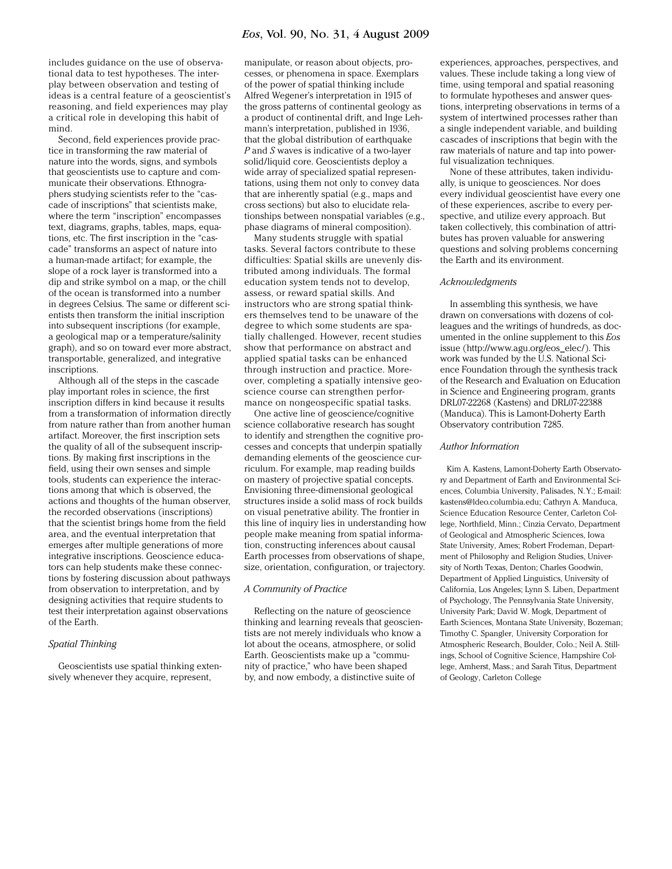includes guidance on the use of observational data to test hypotheses. The interplay between observation and testing of ideas is a central feature of a geoscientist's reasoning, and field experiences may play a critical role in developing this habit of mind.

Second, field experiences provide practice in transforming the raw material of nature into the words, signs, and symbols that geoscientists use to capture and communicate their observations. Ethnographers studying scientists refer to the "cascade of inscriptions" that scientists make, where the term "inscription" encompasses text, diagrams, graphs, tables, maps, equations, etc. The first inscription in the "cascade" transforms an aspect of nature into a human-made artifact; for example, the slope of a rock layer is transformed into a dip and strike symbol on a map, or the chill of the ocean is transformed into a number in degrees Celsius. The same or different scientists then transform the initial inscription into subsequent inscriptions (for example, a geological map or a temperature/salinity graph), and so on toward ever more abstract, transportable, generalized, and integrative inscriptions.

Although all of the steps in the cascade play important roles in science, the first inscription differs in kind because it results from a transformation of information directly from nature rather than from another human artifact. Moreover, the first inscription sets the quality of all of the subsequent inscriptions. By making first inscriptions in the field, using their own senses and simple tools, students can experience the interactions among that which is observed, the actions and thoughts of the human observer, the recorded observations (inscriptions) that the scientist brings home from the field area, and the eventual interpretation that emerges after multiple generations of more integrative inscriptions. Geoscience educators can help students make these connections by fostering discussion about pathways from observation to interpretation, and by designing activities that require students to test their interpretation against observations of the Earth.

## *Spatial Thinking*

Geoscientists use spatial thinking extensively whenever they acquire, represent,

manipulate, or reason about objects, processes, or phenomena in space. Exemplars of the power of spatial thinking include Alfred Wegener's interpretation in 1915 of the gross patterns of continental geology as a product of continental drift, and Inge Lehmann's interpretation, published in 1936, that the global distribution of earthquake *P* and *S* waves is indicative of a two-layer solid/liquid core. Geoscientists deploy a wide array of specialized spatial representations, using them not only to convey data that are inherently spatial (e.g., maps and cross sections) but also to elucidate relationships between nonspatial variables (e.g., phase diagrams of mineral composition).

Many students struggle with spatial tasks. Several factors contribute to these difficulties: Spatial skills are unevenly distributed among individuals. The formal education system tends not to develop, assess, or reward spatial skills. And instructors who are strong spatial thinkers themselves tend to be unaware of the degree to which some students are spatially challenged. However, recent studies show that performance on abstract and applied spatial tasks can be enhanced through instruction and practice. Moreover, completing a spatially intensive geoscience course can strengthen performance on nongeospecific spatial tasks.

One active line of geoscience/cognitive science collaborative research has sought to identify and strengthen the cognitive processes and concepts that underpin spatially demanding elements of the geoscience curriculum. For example, map reading builds on mastery of projective spatial concepts. Envisioning three-dimensional geological structures inside a solid mass of rock builds on visual penetrative ability. The frontier in this line of inquiry lies in understanding how people make meaning from spatial information, constructing inferences about causal Earth processes from observations of shape, size, orientation, configuration, or trajectory.

## *A Community of Practice*

Reflecting on the nature of geoscience thinking and learning reveals that geoscientists are not merely individuals who know a lot about the oceans, atmosphere, or solid Earth. Geoscientists make up a "community of practice," who have been shaped by, and now embody, a distinctive suite of

experiences, approaches, perspectives, and values. These include taking a long view of time, using temporal and spatial reasoning to formulate hypotheses and answer questions, interpreting observations in terms of a system of intertwined processes rather than a single independent variable, and building cascades of inscriptions that begin with the raw materials of nature and tap into powerful visualization techniques.

None of these attributes, taken individually, is unique to geosciences. Nor does every individual geoscientist have every one of these experiences, ascribe to every perspective, and utilize every approach. But taken collectively, this combination of attributes has proven valuable for answering questions and solving problems concerning the Earth and its environment.

#### *Acknowledgments*

In assembling this synthesis, we have drawn on conversations with dozens of colleagues and the writings of hundreds, as documented in the online supplement to this *Eos* issue (http://www.agu.org/eos\_elec/). This work was funded by the U.S. National Science Foundation through the synthesis track of the Research and Evaluation on Education in Science and Engineering program, grants DRL07-22268 (Kastens) and DRL07-22388 (Manduca). This is Lamont-Doherty Earth Observatory contribution 7285.

## *Author Information*

Kim A. Kastens, Lamont-Doherty Earth Observatory and Department of Earth and Environmental Sciences, Columbia University, Palisades, N.Y.; E-mail: kastens@ldeo.columbia.edu; Cathryn A. Manduca, Science Education Resource Center, Carleton College, Northfield, Minn.; Cinzia Cervato, Department of Geological and Atmospheric Sciences, Iowa State University, Ames; Robert Frodeman, Department of Philosophy and Religion Studies, University of North Texas, Denton; Charles Goodwin, Department of Applied Linguistics, University of California, Los Angeles; Lynn S. Liben, Department of Psychology, The Pennsylvania State University, University Park; David W. Mogk, Department of Earth Sciences, Montana State University, Bozeman; Timothy C. Spangler, University Corporation for Atmospheric Research, Boulder, Colo.; Neil A. Stillings, School of Cognitive Science, Hampshire College, Amherst, Mass.; and Sarah Titus, Department of Geology, Carleton College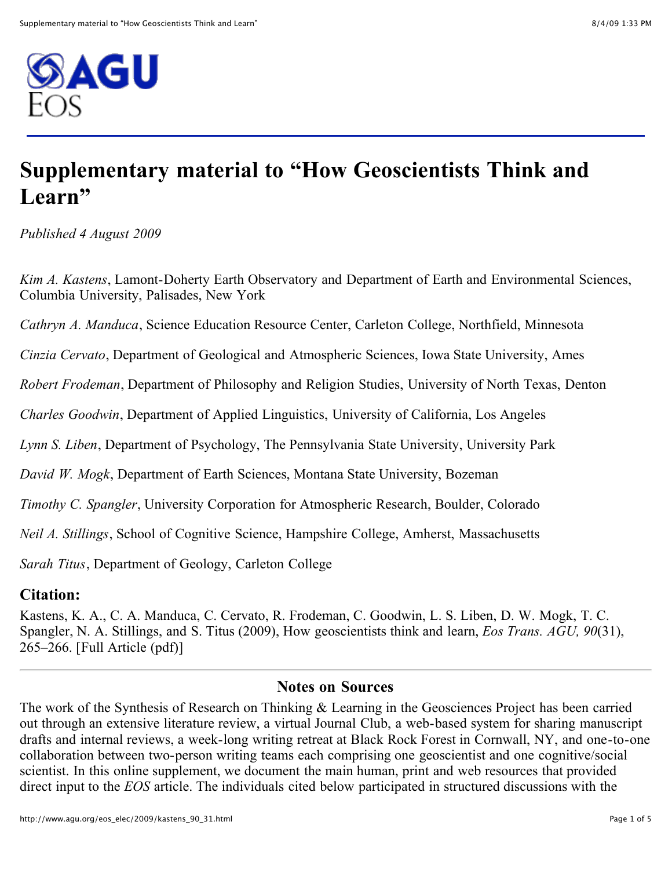

# **Supplementary material to "How Geoscientists Think and Learn"**

*Published 4 August 2009*

*Kim A. Kastens*, Lamont-Doherty Earth Observatory and Department of Earth and Environmental Sciences, Columbia University, Palisades, New York

*Cathryn A. Manduca*, Science Education Resource Center, Carleton College, Northfield, Minnesota

*Cinzia Cervato*, Department of Geological and Atmospheric Sciences, Iowa State University, Ames

*Robert Frodeman*, Department of Philosophy and Religion Studies, University of North Texas, Denton

*Charles Goodwin*, Department of Applied Linguistics, University of California, Los Angeles

*Lynn S. Liben*, Department of Psychology, The Pennsylvania State University, University Park

*David W. Mogk*, Department of Earth Sciences, Montana State University, Bozeman

*Timothy C. Spangler*, University Corporation for Atmospheric Research, Boulder, Colorado

*Neil A. Stillings*, School of Cognitive Science, Hampshire College, Amherst, Massachusetts

*Sarah Titus*, Department of Geology, Carleton College

## **Citation:**

Kastens, K. A., C. A. Manduca, C. Cervato, R. Frodeman, C. Goodwin, L. S. Liben, D. W. Mogk, T. C. Spangler, N. A. Stillings, and S. Titus (2009), How geoscientists think and learn, *Eos Trans. AGU, 90*(31), 265–266. [[Full Article \(pdf\)\]](http://www.agu.org/journals/eo/eo0931/2009EO310001.pdf#anchor)

## **Notes on Sources**

The work of the Synthesis of Research on Thinking & Learning in the Geosciences Project has been carried out through an extensive literature review, a virtual Journal Club, a web-based system for sharing manuscript drafts and internal reviews, a week-long writing retreat at Black Rock Forest in Cornwall, NY, and one-to-one collaboration between two-person writing teams each comprising one geoscientist and one cognitive/social scientist. In this online supplement, we document the main human, print and web resources that provided direct input to the *EOS* article. The individuals cited below participated in structured discussions with the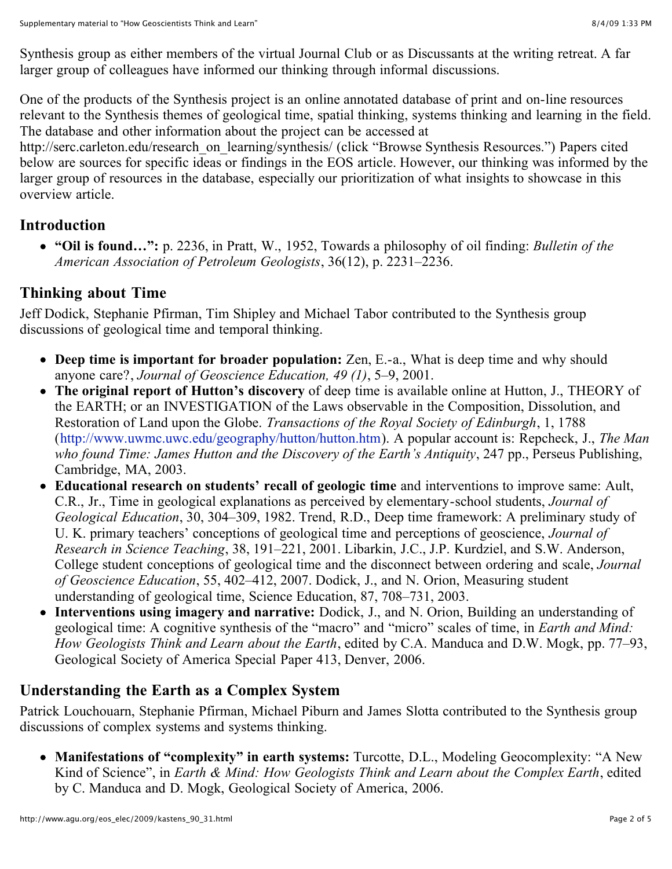Synthesis group as either members of the virtual Journal Club or as Discussants at the writing retreat. A far larger group of colleagues have informed our thinking through informal discussions.

One of the products of the Synthesis project is an online annotated database of print and on-line resources relevant to the Synthesis themes of geological time, spatial thinking, systems thinking and learning in the field. The database and other information about the project can be accessed at

[http://serc.carleton.edu/research\\_on\\_learning/synthesis/](http://serc.carleton.edu/research_on_learning/synthesis/) (click "Browse Synthesis Resources.") Papers cited below are sources for specific ideas or findings in the EOS article. However, our thinking was informed by the larger group of resources in the database, especially our prioritization of what insights to showcase in this overview article.

# **Introduction**

**"Oil is found…":** p. 2236, in Pratt, W., 1952, Towards a philosophy of oil finding: *Bulletin of the American Association of Petroleum Geologists*, 36(12), p. 2231–2236.

# **Thinking about Time**

Jeff Dodick, Stephanie Pfirman, Tim Shipley and Michael Tabor contributed to the Synthesis group discussions of geological time and temporal thinking.

- **Deep time is important for broader population:** Zen, E.-a., What is deep time and why should anyone care?, *Journal of Geoscience Education, 49 (1)*, 5–9, 2001.
- **The original report of Hutton's discovery** of deep time is available online at Hutton, J., THEORY of the EARTH; or an INVESTIGATION of the Laws observable in the Composition, Dissolution, and Restoration of Land upon the Globe. *Transactions of the Royal Society of Edinburgh*, 1, 1788 ([http://www.uwmc.uwc.edu/geography/hutton/hutton.htm\)](http://www.uwmc.uwc.edu/geography/hutton/hutton.htm). A popular account is: Repcheck, J., *The Man who found Time: James Hutton and the Discovery of the Earth's Antiquity*, 247 pp., Perseus Publishing, Cambridge, MA, 2003.
- **Educational research on students' recall of geologic time** and interventions to improve same: Ault, C.R., Jr., Time in geological explanations as perceived by elementary-school students, *Journal of Geological Education*, 30, 304–309, 1982. Trend, R.D., Deep time framework: A preliminary study of U. K. primary teachers' conceptions of geological time and perceptions of geoscience, *Journal of Research in Science Teaching*, 38, 191–221, 2001. Libarkin, J.C., J.P. Kurdziel, and S.W. Anderson, College student conceptions of geological time and the disconnect between ordering and scale, *Journal of Geoscience Education*, 55, 402–412, 2007. Dodick, J., and N. Orion, Measuring student understanding of geological time, Science Education, 87, 708–731, 2003.
- **Interventions using imagery and narrative:** Dodick, J., and N. Orion, Building an understanding of geological time: A cognitive synthesis of the "macro" and "micro" scales of time, in *Earth and Mind: How Geologists Think and Learn about the Earth*, edited by C.A. Manduca and D.W. Mogk, pp. 77–93, Geological Society of America Special Paper 413, Denver, 2006.

# **Understanding the Earth as a Complex System**

Patrick Louchouarn, Stephanie Pfirman, Michael Piburn and James Slotta contributed to the Synthesis group discussions of complex systems and systems thinking.

**Manifestations of "complexity" in earth systems:** Turcotte, D.L., Modeling Geocomplexity: "A New Kind of Science", in *Earth & Mind: How Geologists Think and Learn about the Complex Earth*, edited by C. Manduca and D. Mogk, Geological Society of America, 2006.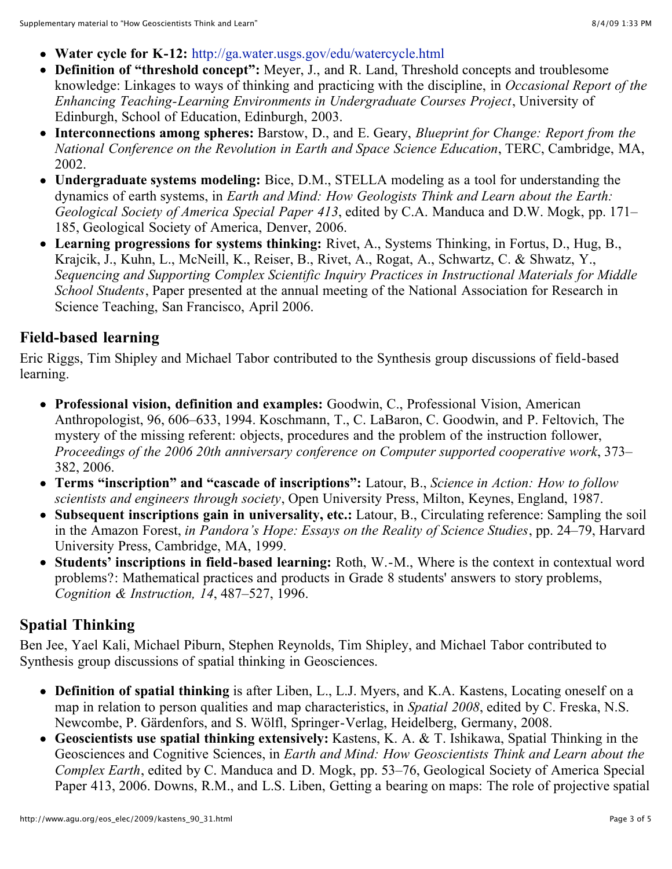- **Water cycle for K-12:** <http://ga.water.usgs.gov/edu/watercycle.html>
- **Definition of "threshold concept":** Meyer, J., and R. Land, Threshold concepts and troublesome knowledge: Linkages to ways of thinking and practicing with the discipline, in *Occasional Report of the Enhancing Teaching-Learning Environments in Undergraduate Courses Project*, University of Edinburgh, School of Education, Edinburgh, 2003.
- **Interconnections among spheres:** Barstow, D., and E. Geary, *Blueprint for Change: Report from the National Conference on the Revolution in Earth and Space Science Education*, TERC, Cambridge, MA, 2002.
- **Undergraduate systems modeling:** Bice, D.M., STELLA modeling as a tool for understanding the dynamics of earth systems, in *Earth and Mind: How Geologists Think and Learn about the Earth: Geological Society of America Special Paper 413*, edited by C.A. Manduca and D.W. Mogk, pp. 171– 185, Geological Society of America, Denver, 2006.
- **Learning progressions for systems thinking:** Rivet, A., Systems Thinking, in Fortus, D., Hug, B., Krajcik, J., Kuhn, L., McNeill, K., Reiser, B., Rivet, A., Rogat, A., Schwartz, C. & Shwatz, Y., *Sequencing and Supporting Complex Scientific Inquiry Practices in Instructional Materials for Middle School Students*, Paper presented at the annual meeting of the National Association for Research in Science Teaching, San Francisco, April 2006.

## **Field-based learning**

Eric Riggs, Tim Shipley and Michael Tabor contributed to the Synthesis group discussions of field-based learning.

- **Professional vision, definition and examples:** Goodwin, C., Professional Vision, American Anthropologist, 96, 606–633, 1994. Koschmann, T., C. LaBaron, C. Goodwin, and P. Feltovich, The mystery of the missing referent: objects, procedures and the problem of the instruction follower, *Proceedings of the 2006 20th anniversary conference on Computer supported cooperative work*, 373– 382, 2006.
- **Terms "inscription" and "cascade of inscriptions":** Latour, B., *Science in Action: How to follow scientists and engineers through society*, Open University Press, Milton, Keynes, England, 1987.
- **Subsequent inscriptions gain in universality, etc.:** Latour, B., Circulating reference: Sampling the soil in the Amazon Forest, *in Pandora's Hope: Essays on the Reality of Science Studies*, pp. 24–79, Harvard University Press, Cambridge, MA, 1999.
- **Students' inscriptions in field-based learning:** Roth, W.-M., Where is the context in contextual word problems?: Mathematical practices and products in Grade 8 students' answers to story problems, *Cognition & Instruction, 14*, 487–527, 1996.

# **Spatial Thinking**

Ben Jee, Yael Kali, Michael Piburn, Stephen Reynolds, Tim Shipley, and Michael Tabor contributed to Synthesis group discussions of spatial thinking in Geosciences.

- **Definition of spatial thinking** is after Liben, L., L.J. Myers, and K.A. Kastens, Locating oneself on a map in relation to person qualities and map characteristics, in *Spatial 2008*, edited by C. Freska, N.S. Newcombe, P. Gärdenfors, and S. Wölfl, Springer-Verlag, Heidelberg, Germany, 2008.
- **Geoscientists use spatial thinking extensively:** Kastens, K. A. & T. Ishikawa, Spatial Thinking in the Geosciences and Cognitive Sciences, in *Earth and Mind: How Geoscientists Think and Learn about the Complex Earth*, edited by C. Manduca and D. Mogk, pp. 53–76, Geological Society of America Special Paper 413, 2006. Downs, R.M., and L.S. Liben, Getting a bearing on maps: The role of projective spatial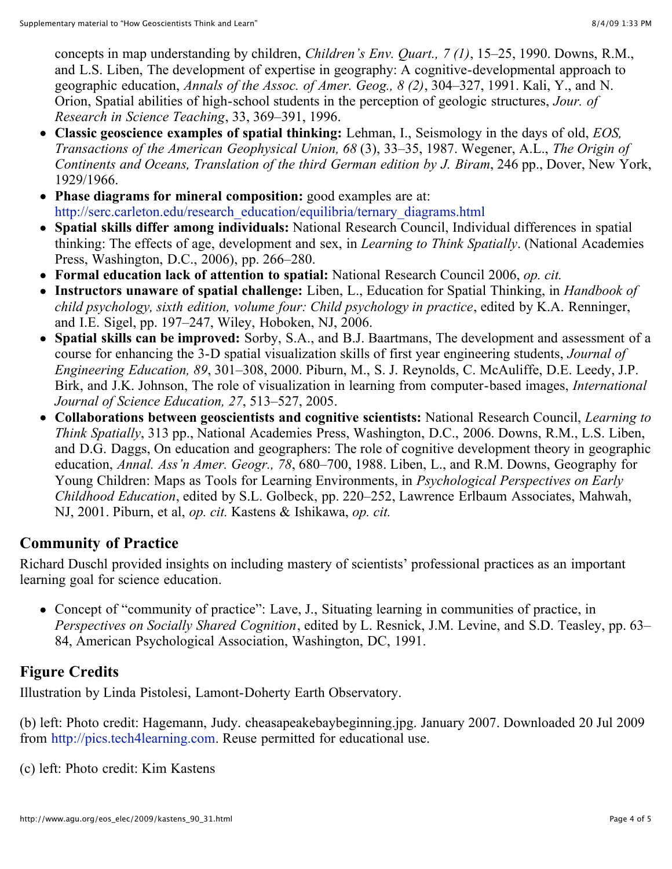concepts in map understanding by children, *Children's Env. Quart., 7 (1)*, 15–25, 1990. Downs, R.M., and L.S. Liben, The development of expertise in geography: A cognitive-developmental approach to geographic education, *Annals of the Assoc. of Amer. Geog., 8 (2)*, 304–327, 1991. Kali, Y., and N. Orion, Spatial abilities of high-school students in the perception of geologic structures, *Jour. of Research in Science Teaching*, 33, 369–391, 1996.

- **Classic geoscience examples of spatial thinking:** Lehman, I., Seismology in the days of old, *EOS, Transactions of the American Geophysical Union, 68* (3), 33–35, 1987. Wegener, A.L., *The Origin of Continents and Oceans, Translation of the third German edition by J. Biram*, 246 pp., Dover, New York, 1929/1966.
- **Phase diagrams for mineral composition:** good examples are at: [http://serc.carleton.edu/research\\_education/equilibria/ternary\\_diagrams.html](http://serc.carleton.edu/research_education/equilibria/ternary_diagrams.html)
- **Spatial skills differ among individuals:** National Research Council, Individual differences in spatial thinking: The effects of age, development and sex, in *Learning to Think Spatially*. (National Academies Press, Washington, D.C., 2006), pp. 266–280.
- **Formal education lack of attention to spatial:** National Research Council 2006, *op. cit.*
- **Instructors unaware of spatial challenge:** Liben, L., Education for Spatial Thinking, in *Handbook of child psychology, sixth edition, volume four: Child psychology in practice*, edited by K.A. Renninger, and I.E. Sigel, pp. 197–247, Wiley, Hoboken, NJ, 2006.
- **Spatial skills can be improved:** Sorby, S.A., and B.J. Baartmans, The development and assessment of a course for enhancing the 3-D spatial visualization skills of first year engineering students, *Journal of Engineering Education, 89*, 301–308, 2000. Piburn, M., S. J. Reynolds, C. McAuliffe, D.E. Leedy, J.P. Birk, and J.K. Johnson, The role of visualization in learning from computer-based images, *International Journal of Science Education, 27*, 513–527, 2005.
- **Collaborations between geoscientists and cognitive scientists:** National Research Council, *Learning to Think Spatially*, 313 pp., National Academies Press, Washington, D.C., 2006. Downs, R.M., L.S. Liben, and D.G. Daggs, On education and geographers: The role of cognitive development theory in geographic education, *Annal. Ass'n Amer. Geogr., 78*, 680–700, 1988. Liben, L., and R.M. Downs, Geography for Young Children: Maps as Tools for Learning Environments, in *Psychological Perspectives on Early Childhood Education*, edited by S.L. Golbeck, pp. 220–252, Lawrence Erlbaum Associates, Mahwah, NJ, 2001. Piburn, et al, *op. cit.* Kastens & Ishikawa, *op. cit.*

# **Community of Practice**

Richard Duschl provided insights on including mastery of scientists' professional practices as an important learning goal for science education.

Concept of "community of practice": Lave, J., Situating learning in communities of practice, in *Perspectives on Socially Shared Cognition*, edited by L. Resnick, J.M. Levine, and S.D. Teasley, pp. 63– 84, American Psychological Association, Washington, DC, 1991.

# **Figure Credits**

Illustration by Linda Pistolesi, Lamont-Doherty Earth Observatory.

(b) left: Photo credit: Hagemann, Judy. cheasapeakebaybeginning.jpg. January 2007. Downloaded 20 Jul 2009 from [http://pics.tech4learning.com](http://pics.tech4learning.com/). Reuse permitted for educational use.

(c) left: Photo credit: Kim Kastens